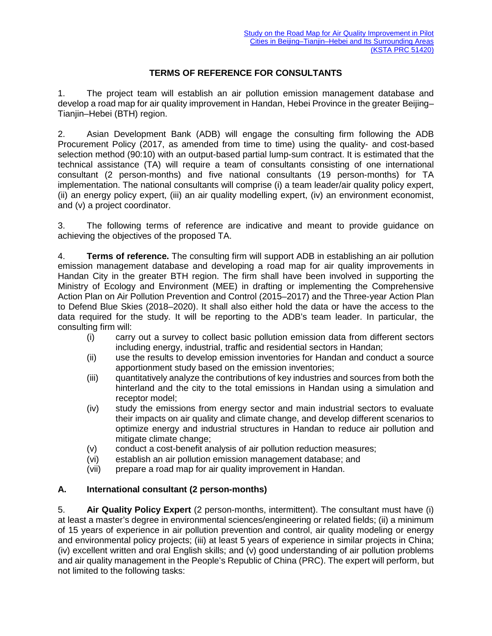## **TERMS OF REFERENCE FOR CONSULTANTS**

1. The project team will establish an air pollution emission management database and develop a road map for air quality improvement in Handan, Hebei Province in the greater Beijing– Tianjin–Hebei (BTH) region.

2. Asian Development Bank (ADB) will engage the consulting firm following the ADB Procurement Policy (2017, as amended from time to time) using the quality- and cost-based selection method (90:10) with an output-based partial lump-sum contract. It is estimated that the technical assistance (TA) will require a team of consultants consisting of one international consultant (2 person-months) and five national consultants (19 person-months) for TA implementation. The national consultants will comprise (i) a team leader/air quality policy expert, (ii) an energy policy expert, (iii) an air quality modelling expert, (iv) an environment economist, and (v) a project coordinator.

3. The following terms of reference are indicative and meant to provide guidance on achieving the objectives of the proposed TA.

4. **Terms of reference.** The consulting firm will support ADB in establishing an air pollution emission management database and developing a road map for air quality improvements in Handan City in the greater BTH region. The firm shall have been involved in supporting the Ministry of Ecology and Environment (MEE) in drafting or implementing the Comprehensive Action Plan on Air Pollution Prevention and Control (2015–2017) and the Three-year Action Plan to Defend Blue Skies (2018–2020). It shall also either hold the data or have the access to the data required for the study. It will be reporting to the ADB's team leader. In particular, the consulting firm will:

- (i) carry out a survey to collect basic pollution emission data from different sectors including energy, industrial, traffic and residential sectors in Handan;
- (ii) use the results to develop emission inventories for Handan and conduct a source apportionment study based on the emission inventories;
- (iii) quantitatively analyze the contributions of key industries and sources from both the hinterland and the city to the total emissions in Handan using a simulation and receptor model;
- (iv) study the emissions from energy sector and main industrial sectors to evaluate their impacts on air quality and climate change, and develop different scenarios to optimize energy and industrial structures in Handan to reduce air pollution and mitigate climate change;
- 
- (v) conduct a cost-benefit analysis of air pollution reduction measures;<br>(vi) establish an air pollution emission management database; and establish an air pollution emission management database; and
- (vii) prepare a road map for air quality improvement in Handan.

## **A. International consultant (2 person-months)**

5. **Air Quality Policy Expert** (2 person-months, intermittent). The consultant must have (i) at least a master's degree in environmental sciences/engineering or related fields; (ii) a minimum of 15 years of experience in air pollution prevention and control, air quality modeling or energy and environmental policy projects; (iii) at least 5 years of experience in similar projects in China; (iv) excellent written and oral English skills; and (v) good understanding of air pollution problems and air quality management in the People's Republic of China (PRC). The expert will perform, but not limited to the following tasks: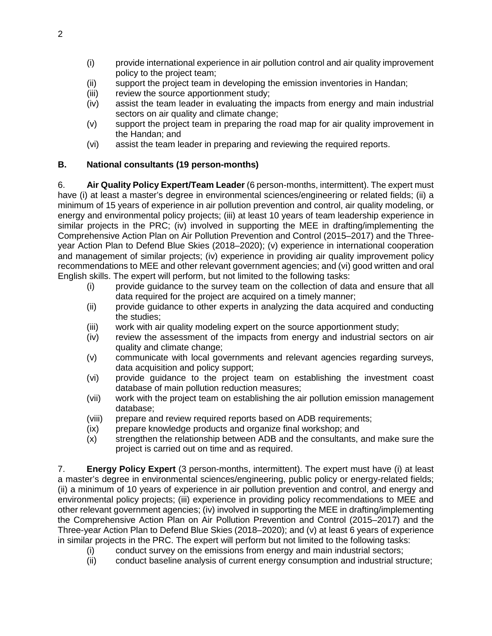- (i) provide international experience in air pollution control and air quality improvement policy to the project team;
- (ii) support the project team in developing the emission inventories in Handan;
- (iii) review the source apportionment study;
- (iv) assist the team leader in evaluating the impacts from energy and main industrial sectors on air quality and climate change;
- (v) support the project team in preparing the road map for air quality improvement in the Handan; and
- (vi) assist the team leader in preparing and reviewing the required reports.

## **B. National consultants (19 person-months)**

6. **Air Quality Policy Expert/Team Leader** (6 person-months, intermittent). The expert must have (i) at least a master's degree in environmental sciences/engineering or related fields; (ii) a minimum of 15 years of experience in air pollution prevention and control, air quality modeling, or energy and environmental policy projects; (iii) at least 10 years of team leadership experience in similar projects in the PRC; (iv) involved in supporting the MEE in drafting/implementing the Comprehensive Action Plan on Air Pollution Prevention and Control (2015–2017) and the Threeyear Action Plan to Defend Blue Skies (2018–2020); (v) experience in international cooperation and management of similar projects; (iv) experience in providing air quality improvement policy recommendations to MEE and other relevant government agencies; and (vi) good written and oral English skills. The expert will perform, but not limited to the following tasks:

- (i) provide guidance to the survey team on the collection of data and ensure that all data required for the project are acquired on a timely manner;
- (ii) provide guidance to other experts in analyzing the data acquired and conducting the studies;
- (iii) work with air quality modeling expert on the source apportionment study;
- (iv) review the assessment of the impacts from energy and industrial sectors on air quality and climate change;
- (v) communicate with local governments and relevant agencies regarding surveys, data acquisition and policy support;
- (vi) provide guidance to the project team on establishing the investment coast database of main pollution reduction measures;
- (vii) work with the project team on establishing the air pollution emission management database;
- (viii) prepare and review required reports based on ADB requirements;
- (ix) prepare knowledge products and organize final workshop; and
- (x) strengthen the relationship between ADB and the consultants, and make sure the project is carried out on time and as required.

7. **Energy Policy Expert** (3 person-months, intermittent). The expert must have (i) at least a master's degree in environmental sciences/engineering, public policy or energy-related fields; (ii) a minimum of 10 years of experience in air pollution prevention and control, and energy and environmental policy projects; (iii) experience in providing policy recommendations to MEE and other relevant government agencies; (iv) involved in supporting the MEE in drafting/implementing the Comprehensive Action Plan on Air Pollution Prevention and Control (2015–2017) and the Three-year Action Plan to Defend Blue Skies (2018–2020); and (v) at least 6 years of experience in similar projects in the PRC. The expert will perform but not limited to the following tasks:

- (i) conduct survey on the emissions from energy and main industrial sectors;
- (ii) conduct baseline analysis of current energy consumption and industrial structure;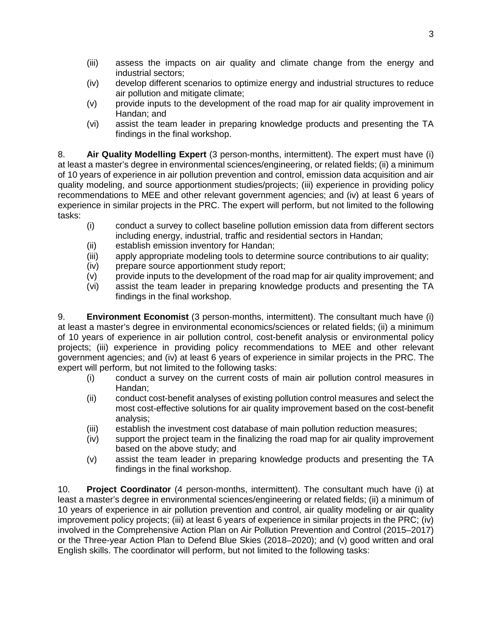- (iii) assess the impacts on air quality and climate change from the energy and industrial sectors;
- (iv) develop different scenarios to optimize energy and industrial structures to reduce air pollution and mitigate climate;
- (v) provide inputs to the development of the road map for air quality improvement in Handan; and
- (vi) assist the team leader in preparing knowledge products and presenting the TA findings in the final workshop.

8. **Air Quality Modelling Expert** (3 person-months, intermittent). The expert must have (i) at least a master's degree in environmental sciences/engineering, or related fields; (ii) a minimum of 10 years of experience in air pollution prevention and control, emission data acquisition and air quality modeling, and source apportionment studies/projects; (iii) experience in providing policy recommendations to MEE and other relevant government agencies; and (iv) at least 6 years of experience in similar projects in the PRC. The expert will perform, but not limited to the following tasks:

- (i) conduct a survey to collect baseline pollution emission data from different sectors including energy, industrial, traffic and residential sectors in Handan;
- (ii) establish emission inventory for Handan;
- (iii) apply appropriate modeling tools to determine source contributions to air quality;
- (iv) prepare source apportionment study report;
- (v) provide inputs to the development of the road map for air quality improvement; and
- (vi) assist the team leader in preparing knowledge products and presenting the TA findings in the final workshop.

9. **Environment Economist** (3 person-months, intermittent). The consultant much have (i) at least a master's degree in environmental economics/sciences or related fields; (ii) a minimum of 10 years of experience in air pollution control, cost-benefit analysis or environmental policy projects; (iii) experience in providing policy recommendations to MEE and other relevant government agencies; and (iv) at least 6 years of experience in similar projects in the PRC. The expert will perform, but not limited to the following tasks:

- (i) conduct a survey on the current costs of main air pollution control measures in Handan;
- (ii) conduct cost-benefit analyses of existing pollution control measures and select the most cost-effective solutions for air quality improvement based on the cost-benefit analysis;
- (iii) establish the investment cost database of main pollution reduction measures;
- (iv) support the project team in the finalizing the road map for air quality improvement based on the above study; and
- (v) assist the team leader in preparing knowledge products and presenting the TA findings in the final workshop.

10. **Project Coordinator** (4 person-months, intermittent). The consultant much have (i) at least a master's degree in environmental sciences/engineering or related fields; (ii) a minimum of 10 years of experience in air pollution prevention and control, air quality modeling or air quality improvement policy projects; (iii) at least 6 years of experience in similar projects in the PRC; (iv) involved in the Comprehensive Action Plan on Air Pollution Prevention and Control (2015–2017) or the Three-year Action Plan to Defend Blue Skies (2018–2020); and (v) good written and oral English skills. The coordinator will perform, but not limited to the following tasks: